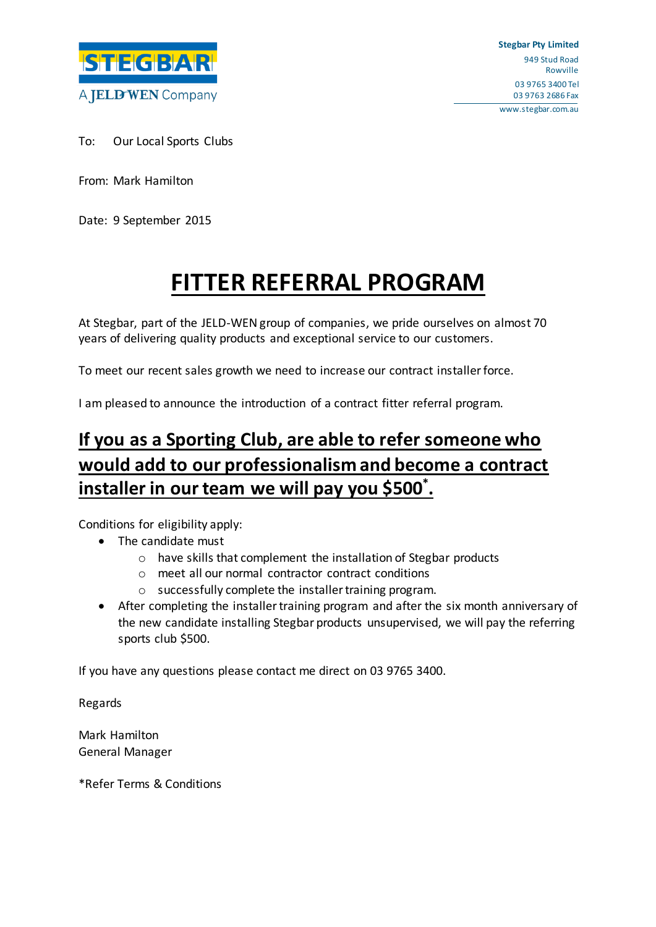

To: Our Local Sports Clubs

From: Mark Hamilton

Date: 9 September 2015

# **FITTER REFERRAL PROGRAM**

At Stegbar, part of the JELD-WEN group of companies, we pride ourselves on almost 70 years of delivering quality products and exceptional service to our customers.

To meet our recent sales growth we need to increase our contract installer force.

I am pleased to announce the introduction of a contract fitter referral program.

# **If you as a Sporting Club, are able to refer someone who would add to our professionalism and become a contract installer in our team we will pay you \$500\* .**

Conditions for eligibility apply:

- The candidate must
	- o have skills that complement the installation of Stegbar products
	- o meet all our normal contractor contract conditions
	- o successfully complete the installer training program.
- After completing the installer training program and after the six month anniversary of the new candidate installing Stegbar products unsupervised, we will pay the referring sports club \$500.

If you have any questions please contact me direct on 03 9765 3400.

Regards

Mark Hamilton General Manager

\*Refer Terms & Conditions